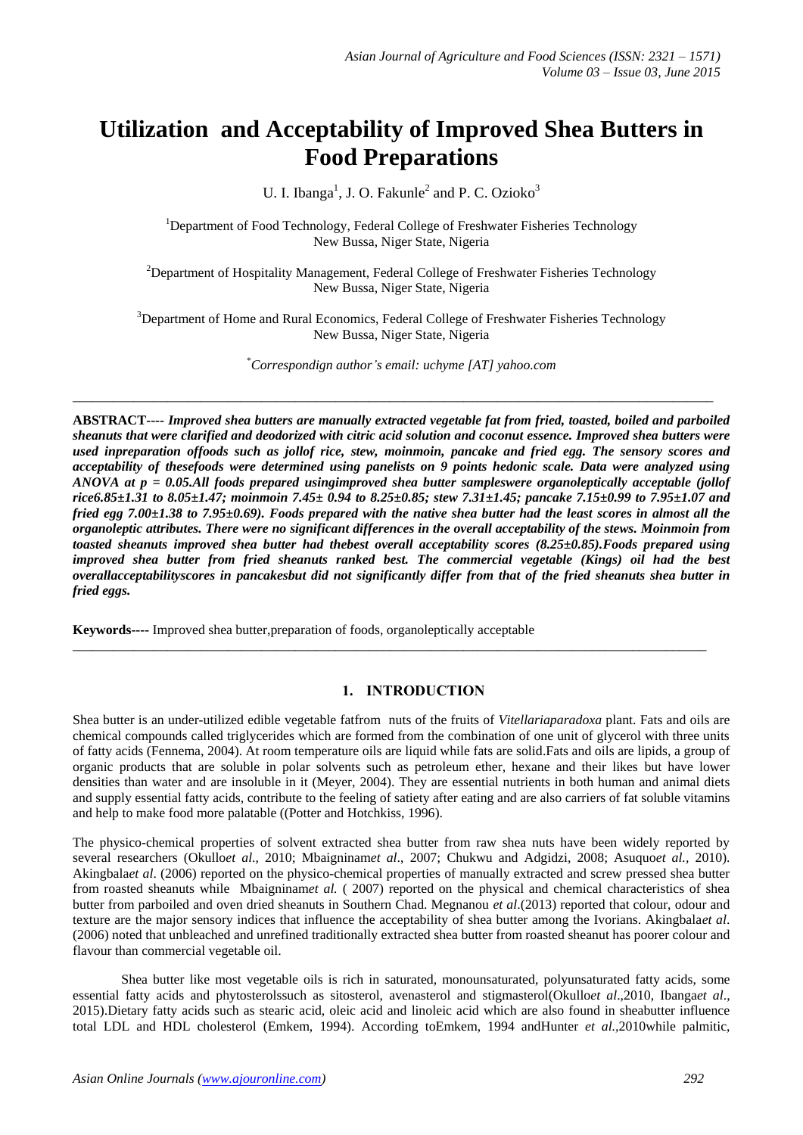# **Utilization and Acceptability of Improved Shea Butters in Food Preparations**

U. I. Ibanga<sup>1</sup>, J. O. Fakunle<sup>2</sup> and P. C. Ozioko<sup>3</sup>

<sup>1</sup>Department of Food Technology, Federal College of Freshwater Fisheries Technology New Bussa, Niger State, Nigeria

<sup>2</sup>Department of Hospitality Management, Federal College of Freshwater Fisheries Technology New Bussa, Niger State, Nigeria

<sup>3</sup>Department of Home and Rural Economics, Federal College of Freshwater Fisheries Technology New Bussa, Niger State, Nigeria

\**Correspondign author's email: uchyme [AT] yahoo.com*

\_\_\_\_\_\_\_\_\_\_\_\_\_\_\_\_\_\_\_\_\_\_\_\_\_\_\_\_\_\_\_\_\_\_\_\_\_\_\_\_\_\_\_\_\_\_\_\_\_\_\_\_\_\_\_\_\_\_\_\_\_\_\_\_\_\_\_\_\_\_\_\_\_\_\_\_\_\_\_\_\_\_\_\_\_\_\_\_\_\_\_\_\_\_\_

**ABSTRACT----** *Improved shea butters are manually extracted vegetable fat from fried, toasted, boiled and parboiled sheanuts that were clarified and deodorized with citric acid solution and coconut essence. Improved shea butters were used inpreparation offoods such as jollof rice, stew, moinmoin, pancake and fried egg. The sensory scores and acceptability of thesefoods were determined using panelists on 9 points hedonic scale. Data were analyzed using ANOVA at p = 0.05.All foods prepared usingimproved shea butter sampleswere organoleptically acceptable (jollof rice6.85±1.31 to 8.05±1.47; moinmoin 7.45± 0.94 to 8.25±0.85; stew 7.31±1.45; pancake 7.15±0.99 to 7.95±1.07 and fried egg 7.00±1.38 to 7.95±0.69). Foods prepared with the native shea butter had the least scores in almost all the organoleptic attributes. There were no significant differences in the overall acceptability of the stews. Moinmoin from toasted sheanuts improved shea butter had thebest overall acceptability scores (8.25±0.85).Foods prepared using improved shea butter from fried sheanuts ranked best. The commercial vegetable (Kings) oil had the best overallacceptabilityscores in pancakesbut did not significantly differ from that of the fried sheanuts shea butter in fried eggs.*

**Keywords----** Improved shea butter,preparation of foods, organoleptically acceptable

# **1. INTRODUCTION**

\_\_\_\_\_\_\_\_\_\_\_\_\_\_\_\_\_\_\_\_\_\_\_\_\_\_\_\_\_\_\_\_\_\_\_\_\_\_\_\_\_\_\_\_\_\_\_\_\_\_\_\_\_\_\_\_\_\_\_\_\_\_\_\_\_\_\_\_\_\_\_\_\_\_\_\_\_\_\_\_\_\_\_\_\_\_\_\_\_\_\_\_\_\_

Shea butter is an under-utilized edible vegetable fatfrom nuts of the fruits of *Vitellariaparadoxa* plant. Fats and oils are chemical compounds called triglycerides which are formed from the combination of one unit of glycerol with three units of fatty acids (Fennema, 2004). At room temperature oils are liquid while fats are solid.Fats and oils are lipids, a group of organic products that are soluble in polar solvents such as petroleum ether, hexane and their likes but have lower densities than water and are insoluble in it (Meyer, 2004). They are essential nutrients in both human and animal diets and supply essential fatty acids, contribute to the feeling of satiety after eating and are also carriers of fat soluble vitamins and help to make food more palatable ((Potter and Hotchkiss, 1996).

The physico-chemical properties of solvent extracted shea butter from raw shea nuts have been widely reported by several researchers (Okullo*et al*., 2010; Mbaigninam*et al*., 2007; Chukwu and Adgidzi, 2008; Asuquo*et al.,* 2010). Akingbala*et al*. (2006) reported on the physico-chemical properties of manually extracted and screw pressed shea butter from roasted sheanuts while Mbaigninam*et al.* ( 2007) reported on the physical and chemical characteristics of shea butter from parboiled and oven dried sheanuts in Southern Chad. Megnanou *et al*.(2013) reported that colour, odour and texture are the major sensory indices that influence the acceptability of shea butter among the Ivorians. Akingbala*et al*. (2006) noted that unbleached and unrefined traditionally extracted shea butter from roasted sheanut has poorer colour and flavour than commercial vegetable oil.

Shea butter like most vegetable oils is rich in saturated, monounsaturated, polyunsaturated fatty acids, some essential fatty acids and phytosterolssuch as sitosterol, avenasterol and stigmasterol(Okullo*et al*.,2010, Ibanga*et al*., 2015).Dietary fatty acids such as stearic acid, oleic acid and linoleic acid which are also found in sheabutter influence total LDL and HDL cholesterol (Emkem, 1994). According toEmkem, 1994 andHunter *et al.,*2010while palmitic,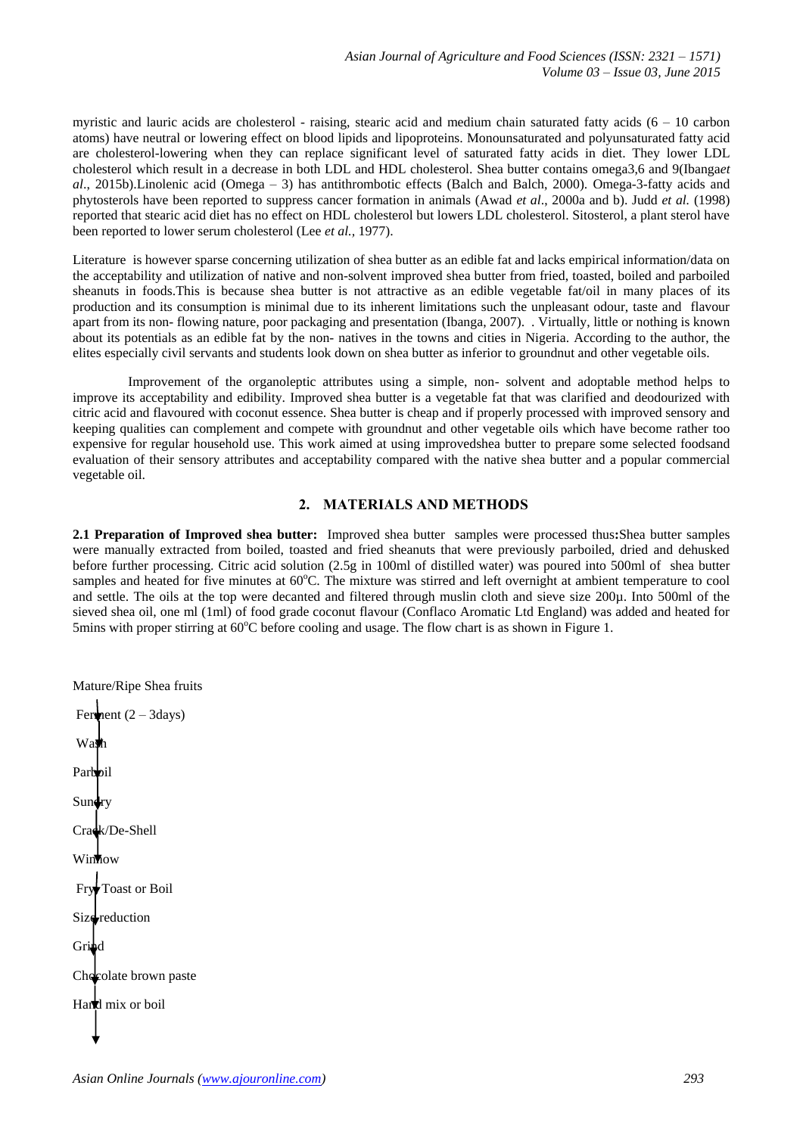myristic and lauric acids are cholesterol - raising, stearic acid and medium chain saturated fatty acids  $(6 - 10 \text{ carbon})$ atoms) have neutral or lowering effect on blood lipids and lipoproteins. Monounsaturated and polyunsaturated fatty acid are cholesterol-lowering when they can replace significant level of saturated fatty acids in diet. They lower LDL cholesterol which result in a decrease in both LDL and HDL cholesterol. Shea butter contains omega3,6 and 9(Ibanga*et al*., 2015b).Linolenic acid (Omega – 3) has antithrombotic effects (Balch and Balch, 2000). Omega-3-fatty acids and phytosterols have been reported to suppress cancer formation in animals (Awad *et al*., 2000a and b). Judd *et al.* (1998) reported that stearic acid diet has no effect on HDL cholesterol but lowers LDL cholesterol. Sitosterol, a plant sterol have been reported to lower serum cholesterol (Lee *et al.,* 1977).

Literature is however sparse concerning utilization of shea butter as an edible fat and lacks empirical information/data on the acceptability and utilization of native and non-solvent improved shea butter from fried, toasted, boiled and parboiled sheanuts in foods.This is because shea butter is not attractive as an edible vegetable fat/oil in many places of its production and its consumption is minimal due to its inherent limitations such the unpleasant odour, taste and flavour apart from its non- flowing nature, poor packaging and presentation (Ibanga, 2007). . Virtually, little or nothing is known about its potentials as an edible fat by the non- natives in the towns and cities in Nigeria. According to the author, the elites especially civil servants and students look down on shea butter as inferior to groundnut and other vegetable oils.

 Improvement of the organoleptic attributes using a simple, non- solvent and adoptable method helps to improve its acceptability and edibility. Improved shea butter is a vegetable fat that was clarified and deodourized with citric acid and flavoured with coconut essence. Shea butter is cheap and if properly processed with improved sensory and keeping qualities can complement and compete with groundnut and other vegetable oils which have become rather too expensive for regular household use. This work aimed at using improvedshea butter to prepare some selected foodsand evaluation of their sensory attributes and acceptability compared with the native shea butter and a popular commercial vegetable oil.

# **2. MATERIALS AND METHODS**

**2.1 Preparation of Improved shea butter:** Improved shea butter samples were processed thus**:**Shea butter samples were manually extracted from boiled, toasted and fried sheanuts that were previously parboiled, dried and dehusked before further processing. Citric acid solution (2.5g in 100ml of distilled water) was poured into 500ml of shea butter samples and heated for five minutes at 60°C. The mixture was stirred and left overnight at ambient temperature to cool and settle. The oils at the top were decanted and filtered through muslin cloth and sieve size 200µ. Into 500ml of the sieved shea oil, one ml (1ml) of food grade coconut flavour (Conflaco Aromatic Ltd England) was added and heated for 5mins with proper stirring at  $60^{\circ}$ C before cooling and usage. The flow chart is as shown in Figure 1.

```
Mature/Ripe Shea fruits
Ferment (2 - 3days)
Wash
Parboil
Sundry
Crack/De-Shell
Winnow
Fry Toast or Boil
Size reduction
Grind
Chocolate brown paste
Hand mix or boil
```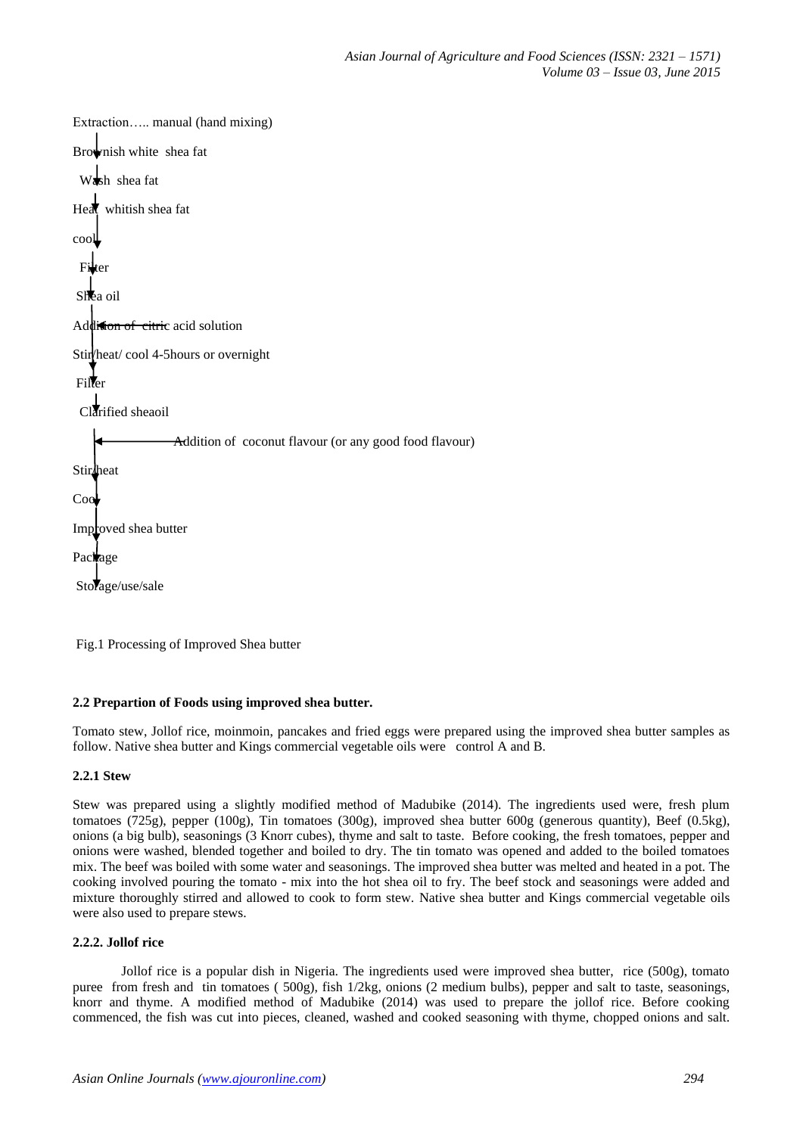```
Extraction….. manual (hand mixing) 
Brownish white shea fat
 W<sub>sh</sub> shea fat
Heat whitish shea fat
cool
  Filter
Shea oil
Addition of citric acid solution
Stir/heat/ cool 4-5hours or overnight
Filter
 Clarified sheaoil
                  Addition of coconut flavour (or any good food flavour)
Stir/heat
Coo
Improved shea butter
Package
Storage/use/sale
```
Fig.1 Processing of Improved Shea butter

# **2.2 Prepartion of Foods using improved shea butter.**

Tomato stew, Jollof rice, moinmoin, pancakes and fried eggs were prepared using the improved shea butter samples as follow. Native shea butter and Kings commercial vegetable oils were control A and B.

# **2.2.1 Stew**

Stew was prepared using a slightly modified method of Madubike (2014). The ingredients used were, fresh plum tomatoes (725g), pepper (100g), Tin tomatoes (300g), improved shea butter 600g (generous quantity), Beef (0.5kg), onions (a big bulb), seasonings (3 Knorr cubes), thyme and salt to taste. Before cooking, the fresh tomatoes, pepper and onions were washed, blended together and boiled to dry. The tin tomato was opened and added to the boiled tomatoes mix. The beef was boiled with some water and seasonings. The improved shea butter was melted and heated in a pot. The cooking involved pouring the tomato - mix into the hot shea oil to fry. The beef stock and seasonings were added and mixture thoroughly stirred and allowed to cook to form stew. Native shea butter and Kings commercial vegetable oils were also used to prepare stews.

# **2.2.2. Jollof rice**

Jollof rice is a popular dish in Nigeria. The ingredients used were improved shea butter, rice (500g), tomato puree from fresh and tin tomatoes ( 500g), fish 1/2kg, onions (2 medium bulbs), pepper and salt to taste, seasonings, knorr and thyme. A modified method of Madubike (2014) was used to prepare the jollof rice. Before cooking commenced, the fish was cut into pieces, cleaned, washed and cooked seasoning with thyme, chopped onions and salt.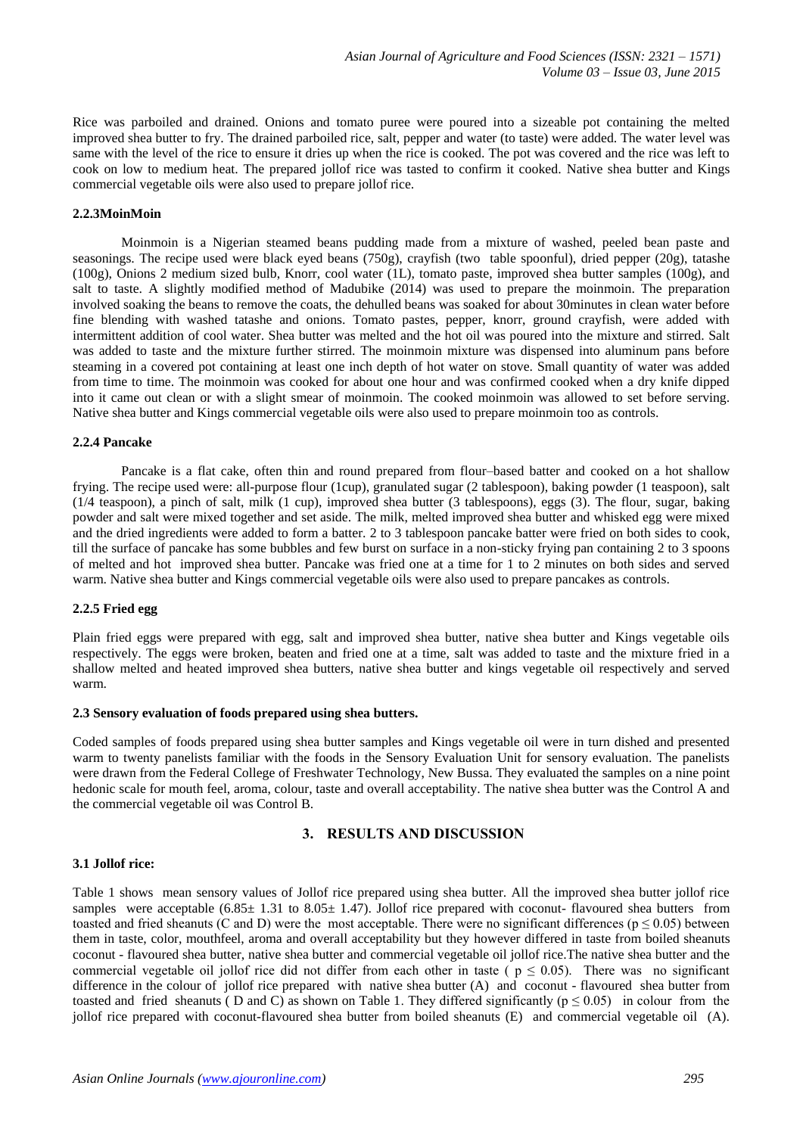Rice was parboiled and drained. Onions and tomato puree were poured into a sizeable pot containing the melted improved shea butter to fry. The drained parboiled rice, salt, pepper and water (to taste) were added. The water level was same with the level of the rice to ensure it dries up when the rice is cooked. The pot was covered and the rice was left to cook on low to medium heat. The prepared jollof rice was tasted to confirm it cooked. Native shea butter and Kings commercial vegetable oils were also used to prepare jollof rice.

## **2.2.3MoinMoin**

Moinmoin is a Nigerian steamed beans pudding made from a mixture of washed, peeled bean paste and seasonings. The recipe used were black eyed beans (750g), crayfish (two table spoonful), dried pepper (20g), tatashe (100g), Onions 2 medium sized bulb, Knorr, cool water (1L), tomato paste, improved shea butter samples (100g), and salt to taste. A slightly modified method of Madubike (2014) was used to prepare the moinmoin. The preparation involved soaking the beans to remove the coats, the dehulled beans was soaked for about 30minutes in clean water before fine blending with washed tatashe and onions. Tomato pastes, pepper, knorr, ground crayfish, were added with intermittent addition of cool water. Shea butter was melted and the hot oil was poured into the mixture and stirred. Salt was added to taste and the mixture further stirred. The moinmoin mixture was dispensed into aluminum pans before steaming in a covered pot containing at least one inch depth of hot water on stove. Small quantity of water was added from time to time. The moinmoin was cooked for about one hour and was confirmed cooked when a dry knife dipped into it came out clean or with a slight smear of moinmoin. The cooked moinmoin was allowed to set before serving. Native shea butter and Kings commercial vegetable oils were also used to prepare moinmoin too as controls.

#### **2.2.4 Pancake**

Pancake is a flat cake, often thin and round prepared from flour–based batter and cooked on a hot shallow frying. The recipe used were: all-purpose flour (1cup), granulated sugar (2 tablespoon), baking powder (1 teaspoon), salt (1/4 teaspoon), a pinch of salt, milk (1 cup), improved shea butter (3 tablespoons), eggs (3). The flour, sugar, baking powder and salt were mixed together and set aside. The milk, melted improved shea butter and whisked egg were mixed and the dried ingredients were added to form a batter. 2 to 3 tablespoon pancake batter were fried on both sides to cook, till the surface of pancake has some bubbles and few burst on surface in a non-sticky frying pan containing 2 to 3 spoons of melted and hot improved shea butter. Pancake was fried one at a time for 1 to 2 minutes on both sides and served warm. Native shea butter and Kings commercial vegetable oils were also used to prepare pancakes as controls.

# **2.2.5 Fried egg**

Plain fried eggs were prepared with egg, salt and improved shea butter, native shea butter and Kings vegetable oils respectively. The eggs were broken, beaten and fried one at a time, salt was added to taste and the mixture fried in a shallow melted and heated improved shea butters, native shea butter and kings vegetable oil respectively and served warm.

#### **2.3 Sensory evaluation of foods prepared using shea butters.**

Coded samples of foods prepared using shea butter samples and Kings vegetable oil were in turn dished and presented warm to twenty panelists familiar with the foods in the Sensory Evaluation Unit for sensory evaluation. The panelists were drawn from the Federal College of Freshwater Technology, New Bussa. They evaluated the samples on a nine point hedonic scale for mouth feel, aroma, colour, taste and overall acceptability. The native shea butter was the Control A and the commercial vegetable oil was Control B.

# **3. RESULTS AND DISCUSSION**

#### **3.1 Jollof rice:**

Table 1 shows mean sensory values of Jollof rice prepared using shea butter. All the improved shea butter jollof rice samples were acceptable  $(6.85 \pm 1.31 \text{ to } 8.05 \pm 1.47)$ . Jollof rice prepared with coconut- flavoured shea butters from toasted and fried sheanuts (C and D) were the most acceptable. There were no significant differences ( $p \le 0.05$ ) between them in taste, color, mouthfeel, aroma and overall acceptability but they however differed in taste from boiled sheanuts coconut - flavoured shea butter, native shea butter and commercial vegetable oil jollof rice.The native shea butter and the commercial vegetable oil jollof rice did not differ from each other in taste ( $p \le 0.05$ ). There was no significant difference in the colour of jollof rice prepared with native shea butter (A) and coconut - flavoured shea butter from toasted and fried sheanuts (D and C) as shown on Table 1. They differed significantly ( $p \le 0.05$ ) in colour from the jollof rice prepared with coconut-flavoured shea butter from boiled sheanuts (E) and commercial vegetable oil (A).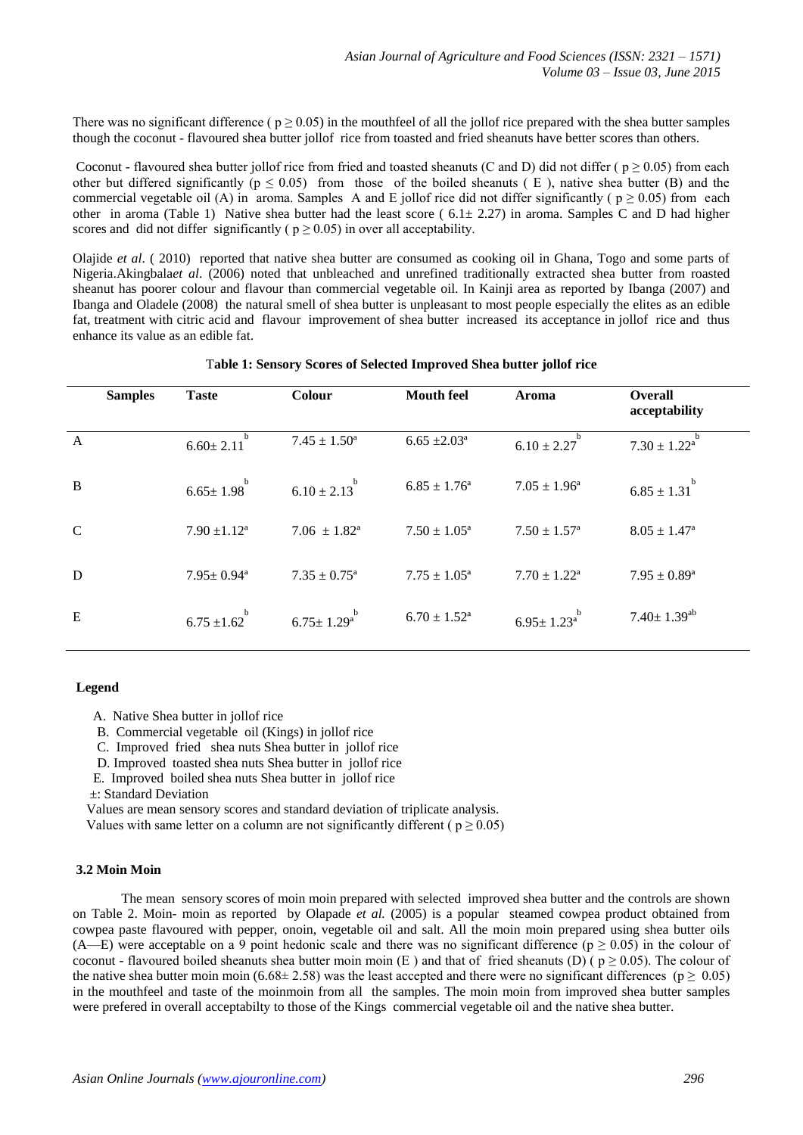There was no significant difference ( $p \ge 0.05$ ) in the mouthfeel of all the jollof rice prepared with the shea butter samples though the coconut - flavoured shea butter jollof rice from toasted and fried sheanuts have better scores than others.

Coconut - flavoured shea butter jollof rice from fried and toasted sheanuts (C and D) did not differ ( $p \ge 0.05$ ) from each other but differed significantly ( $p \le 0.05$ ) from those of the boiled sheanuts (E), native shea butter (B) and the commercial vegetable oil (A) in aroma. Samples A and E jollof rice did not differ significantly ( $p \ge 0.05$ ) from each other in aroma (Table 1) Native shea butter had the least score ( $6.1 \pm 2.27$ ) in aroma. Samples C and D had higher scores and did not differ significantly ( $p \ge 0.05$ ) in over all acceptability.

Olajide *et al*. ( 2010) reported that native shea butter are consumed as cooking oil in Ghana, Togo and some parts of Nigeria.Akingbala*et al*. (2006) noted that unbleached and unrefined traditionally extracted shea butter from roasted sheanut has poorer colour and flavour than commercial vegetable oil. In Kainji area as reported by Ibanga (2007) and Ibanga and Oladele (2008) the natural smell of shea butter is unpleasant to most people especially the elites as an edible fat, treatment with citric acid and flavour improvement of shea butter increased its acceptance in jollof rice and thus enhance its value as an edible fat.

|               | <b>Samples</b> | <b>Taste</b>            | <b>Colour</b>           | <b>Mouth feel</b>       | Aroma                   | Overall<br>acceptability      |
|---------------|----------------|-------------------------|-------------------------|-------------------------|-------------------------|-------------------------------|
| A             |                | h.<br>$6.60 \pm 2.11$   | $7.45 \pm 1.50^a$       | $6.65 \pm 2.03^a$       | $6.10 \pm 2.27$         | b<br>$7.30 \pm 1.22^a$        |
| B             |                | b<br>$6.65 \pm 1.98$    | $6.10 \pm 2.13$         | $6.85 \pm 1.76^a$       | $7.05 \pm 1.96^a$       | $6.85 \pm 1.31$               |
| $\mathcal{C}$ |                | $7.90 \pm 1.12^a$       | $7.06 \pm 1.82^{\circ}$ | $7.50 \pm 1.05^{\circ}$ | $7.50 \pm 1.57^{\rm a}$ | $8.05 \pm 1.47^{\rm a}$       |
| D             |                | $7.95 \pm 0.94^{\circ}$ | $7.35 \pm 0.75^{\circ}$ | $7.75 \pm 1.05^{\circ}$ | $7.70 \pm 1.22^{\rm a}$ | $7.95 \pm 0.89^a$             |
| E             |                | $6.75 \pm 1.62$         | $6.75 \pm 1.29^{a}$     | $6.70 \pm 1.52^{\rm a}$ | $6.95 \pm 1.23^{b}$     | $7.40 \pm 1.39$ <sup>ab</sup> |

# T**able 1: Sensory Scores of Selected Improved Shea butter jollof rice**

#### **Legend**

- A. Native Shea butter in jollof rice
- B. Commercial vegetable oil (Kings) in jollof rice
- C. Improved fried shea nuts Shea butter in jollof rice
- D. Improved toasted shea nuts Shea butter in jollof rice
- E. Improved boiled shea nuts Shea butter in jollof rice
- ±: Standard Deviation

Values are mean sensory scores and standard deviation of triplicate analysis.

Values with same letter on a column are not significantly different ( $p \ge 0.05$ )

#### **3.2 Moin Moin**

The mean sensory scores of moin moin prepared with selected improved shea butter and the controls are shown on Table 2. Moin- moin as reported by Olapade *et al.* (2005) is a popular steamed cowpea product obtained from cowpea paste flavoured with pepper, onoin, vegetable oil and salt. All the moin moin prepared using shea butter oils (A—E) were acceptable on a 9 point hedonic scale and there was no significant difference ( $p \ge 0.05$ ) in the colour of coconut - flavoured boiled sheanuts shea butter moin moin (E) and that of fried sheanuts (D) ( $p \ge 0.05$ ). The colour of the native shea butter moin moin (6.68± 2.58) was the least accepted and there were no significant differences ( $p \ge 0.05$ ) in the mouthfeel and taste of the moinmoin from all the samples. The moin moin from improved shea butter samples were prefered in overall acceptabilty to those of the Kings commercial vegetable oil and the native shea butter.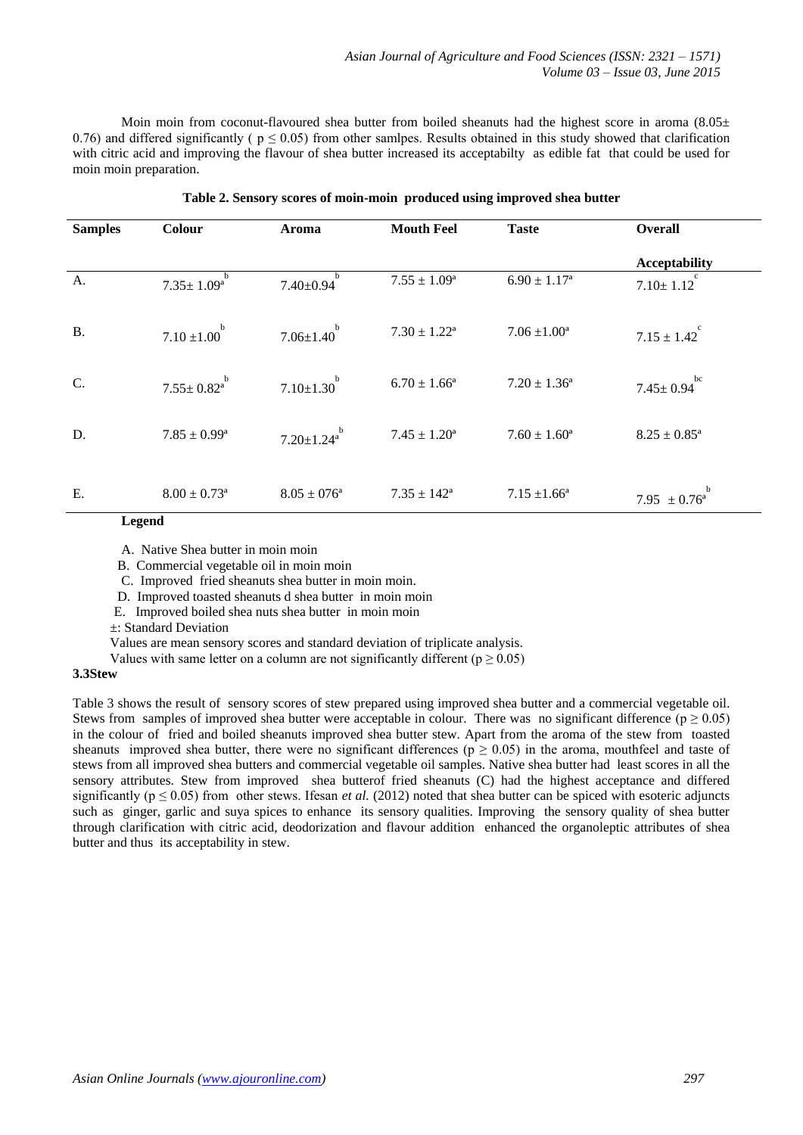Moin moin from coconut-flavoured shea butter from boiled sheanuts had the highest score in aroma  $(8.05±$ 0.76) and differed significantly ( $p \le 0.05$ ) from other samlpes. Results obtained in this study showed that clarification with citric acid and improving the flavour of shea butter increased its acceptabilty as edible fat that could be used for moin moin preparation.

| <b>Samples</b> | <b>Colour</b>                | Aroma                   | <b>Mouth Feel</b>      | <b>Taste</b>      | <b>Overall</b>               |
|----------------|------------------------------|-------------------------|------------------------|-------------------|------------------------------|
|                |                              |                         |                        |                   | <b>Acceptability</b>         |
| A.             | $7.35 \pm 1.09$ <sup>a</sup> | $7.40 \pm 0.94$         | $7.55 \pm 1.09^a$      | $6.90 \pm 1.17^a$ | $7.10 \pm 1.12$              |
| <b>B.</b>      | $7.10 \pm 1.00$              | $7.06 \pm 1.40^{b}$     | $7.30 \pm 1.22^a$      | $7.06 \pm 1.00^a$ | $7.15 \pm 1.42$ <sup>c</sup> |
| C.             | $7.55 \pm 0.82$ <sup>a</sup> | $7.10\pm1.30^{b}$       | $6.70 \pm 1.66^a$      | $7.20 \pm 1.36^a$ | bc<br>$7.45 \pm 0.94$        |
| D.             | $7.85 \pm 0.99^a$            | $7.20 \pm 1.24^{\circ}$ | $7.45 \pm 1.20^a$      | $7.60 \pm 1.60^a$ | $8.25 \pm 0.85^a$            |
| Ε.             | $8.00 \pm 0.73$ <sup>a</sup> | $8.05 \pm 0.76^{\circ}$ | $7.35 \pm 142^{\circ}$ | $7.15 \pm 1.66^a$ | 7.95 $\pm 0.76^{\circ}$      |

|  |  |  | Table 2. Sensory scores of moin-moin produced using improved shea butter |  |
|--|--|--|--------------------------------------------------------------------------|--|
|  |  |  |                                                                          |  |

#### **Legend**

A. Native Shea butter in moin moin

B. Commercial vegetable oil in moin moin

C. Improved fried sheanuts shea butter in moin moin.

D. Improved toasted sheanuts d shea butter in moin moin

E. Improved boiled shea nuts shea butter in moin moin

±: Standard Deviation

Values are mean sensory scores and standard deviation of triplicate analysis.

Values with same letter on a column are not significantly different ( $p \ge 0.05$ )

# **3.3Stew**

Table 3 shows the result of sensory scores of stew prepared using improved shea butter and a commercial vegetable oil. Stews from samples of improved shea butter were acceptable in colour. There was no significant difference ( $p > 0.05$ ) in the colour of fried and boiled sheanuts improved shea butter stew. Apart from the aroma of the stew from toasted sheanuts improved shea butter, there were no significant differences ( $p \ge 0.05$ ) in the aroma, mouthfeel and taste of stews from all improved shea butters and commercial vegetable oil samples. Native shea butter had least scores in all the sensory attributes. Stew from improved shea butterof fried sheanuts (C) had the highest acceptance and differed significantly ( $p \le 0.05$ ) from other stews. Ifesan *et al.* (2012) noted that shea butter can be spiced with esoteric adjuncts such as ginger, garlic and suya spices to enhance its sensory qualities. Improving the sensory quality of shea butter through clarification with citric acid, deodorization and flavour addition enhanced the organoleptic attributes of shea butter and thus its acceptability in stew.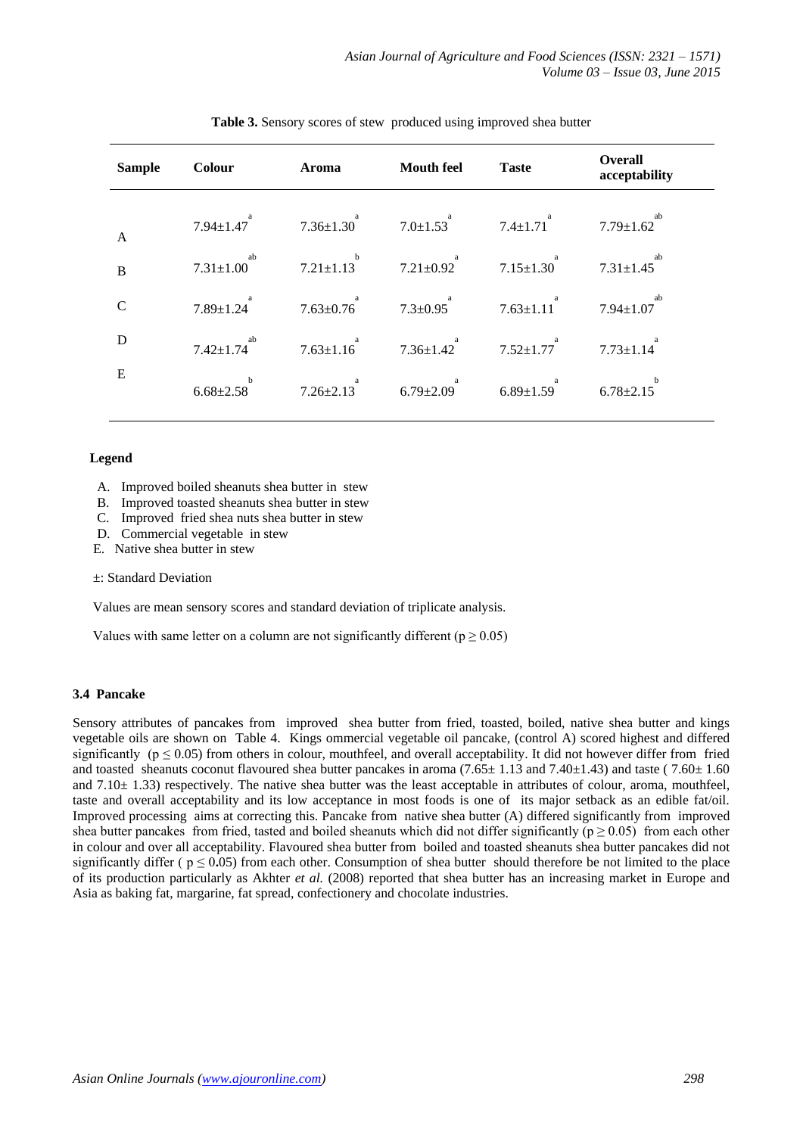| <b>Sample</b> | <b>Colour</b>         | Aroma                | <b>Mouth feel</b>    | <b>Taste</b>         | Overall<br>acceptability |
|---------------|-----------------------|----------------------|----------------------|----------------------|--------------------------|
| A             | a<br>$7.94 \pm 1.47$  | $7.36 \pm 1.30$      | $7.0 \pm 1.53$       | a<br>$7.4 \pm 1.71$  | ab<br>$7.79 \pm 1.62$    |
| B             | ab<br>$7.31 \pm 1.00$ | $7.21 \pm 1.13$      | $7.21 \pm 0.92$      | $7.15 \pm 1.30$      | ab<br>$7.31 \pm 1.45$    |
| $\mathcal{C}$ | a<br>$7.89 \pm 1.24$  | a<br>$7.63 \pm 0.76$ | a<br>$7.3 \pm 0.95$  | a<br>$7.63 \pm 1.11$ | ab<br>$7.94 \pm 1.07$    |
| D             | ab<br>$7.42 \pm 1.74$ | a<br>$7.63 \pm 1.16$ | a<br>$7.36 \pm 1.42$ | a<br>$7.52 \pm 1.77$ | a<br>$7.73 \pm 1.14$     |
| Ε             | b<br>$6.68 \pm 2.58$  | a<br>$7.26 \pm 2.13$ | a<br>$6.79 \pm 2.09$ | a<br>$6.89 \pm 1.59$ | $6.78 \pm 2.15$          |

**Table 3.** Sensory scores of stew produced using improved shea butter

#### **Legend**

- A. Improved boiled sheanuts shea butter in stew
- B. Improved toasted sheanuts shea butter in stew
- C. Improved fried shea nuts shea butter in stew
- D. Commercial vegetable in stew
- E. Native shea butter in stew

±: Standard Deviation

Values are mean sensory scores and standard deviation of triplicate analysis.

Values with same letter on a column are not significantly different ( $p \ge 0.05$ )

## **3.4 Pancake**

Sensory attributes of pancakes from improved shea butter from fried, toasted, boiled, native shea butter and kings vegetable oils are shown on Table 4. Kings ommercial vegetable oil pancake, (control A) scored highest and differed significantly ( $p \le 0.05$ ) from others in colour, mouthfeel, and overall acceptability. It did not however differ from fried and toasted sheanuts coconut flavoured shea butter pancakes in aroma  $(7.65 \pm 1.13$  and  $7.40 \pm 1.43)$  and taste ( $7.60 \pm 1.60$ and  $7.10 \pm 1.33$ ) respectively. The native shea butter was the least acceptable in attributes of colour, aroma, mouthfeel, taste and overall acceptability and its low acceptance in most foods is one of its major setback as an edible fat/oil. Improved processing aims at correcting this. Pancake from native shea butter (A) differed significantly from improved shea butter pancakes from fried, tasted and boiled sheanuts which did not differ significantly ( $p \ge 0.05$ ) from each other in colour and over all acceptability. Flavoured shea butter from boiled and toasted sheanuts shea butter pancakes did not significantly differ ( $p \le 0.05$ ) from each other. Consumption of shea butter should therefore be not limited to the place of its production particularly as Akhter *et al.* (2008) reported that shea butter has an increasing market in Europe and Asia as baking fat, margarine, fat spread, confectionery and chocolate industries.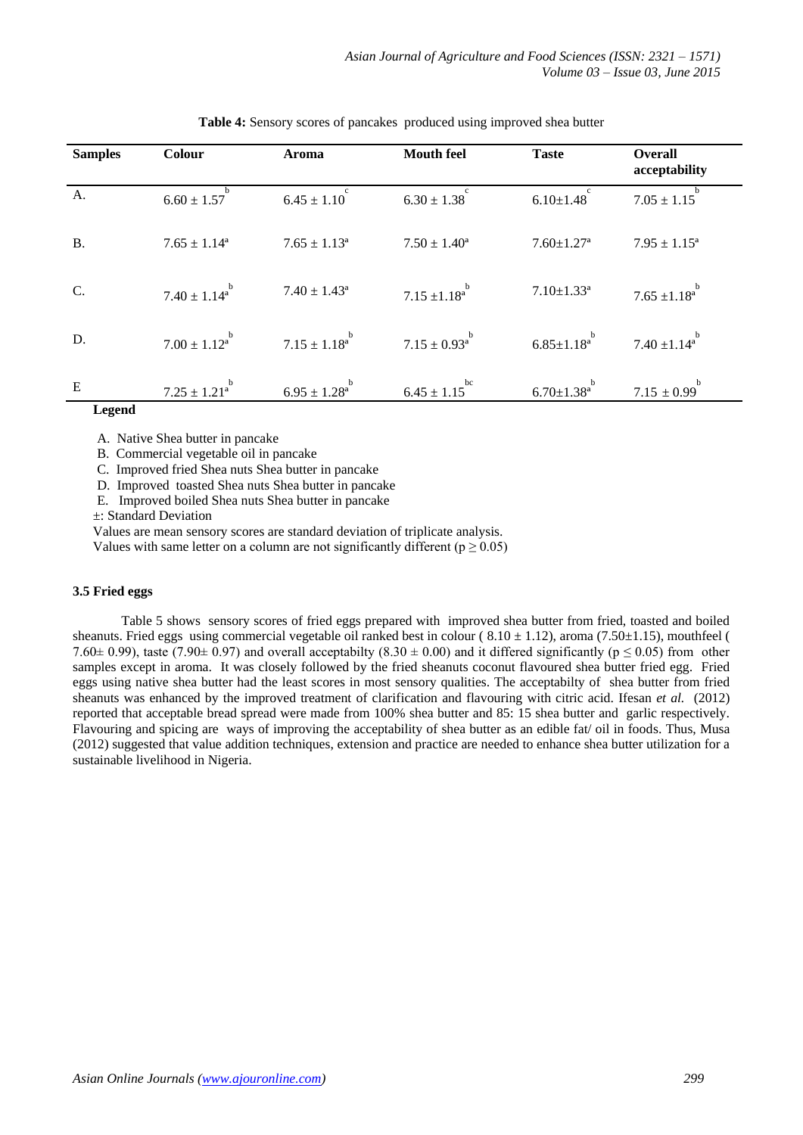| <b>Samples</b> | Colour                       | Aroma                           | <b>Mouth feel</b>               | <b>Taste</b>                      | <b>Overall</b><br>acceptability |
|----------------|------------------------------|---------------------------------|---------------------------------|-----------------------------------|---------------------------------|
| A.             | h<br>$6.60 \pm 1.57$         | $\mathbf{c}$<br>$6.45 \pm 1.10$ | $\mathbf c$<br>$6.30 \pm 1.38$  | c<br>$6.10 \pm 1.48$              | $7.05 \pm 1.15$                 |
| <b>B.</b>      | $7.65 \pm 1.14^a$            | $7.65 \pm 1.13^{\circ}$         | $7.50 \pm 1.40^a$               | $7.60 \pm 1.27$ <sup>a</sup>      | $7.95 \pm 1.15^a$               |
| C.             | b<br>$7.40 \pm 1.14^a$       | $7.40 \pm 1.43^a$               | b<br>$7.15 \pm 1.18^{\text{a}}$ | $7.10 \pm 1.33$ <sup>a</sup>      | b<br>$7.65 \pm 1.18^a$          |
| D.             | $7.00 \pm 1.12^{\rm a}$      | b<br>$7.15 \pm 1.18^a$          | $7.15 \pm 0.93$ <sup>a</sup>    | $6.85 \pm 1.18$ <sup>a</sup>      | $7.40 \pm 1.14^a$               |
| E              | b<br>$7.25 \pm 1.21^{\circ}$ | b<br>$6.95 \pm 1.28^a$          | bc<br>$6.45 \pm 1.15$           | b<br>$6.70 \pm 1.38$ <sup>a</sup> | b<br>$7.15 \pm 0.99$            |
| <b>Legend</b>  |                              |                                 |                                 |                                   |                                 |

| Table 4: Sensory scores of pancakes produced using improved shea butter |  |  |
|-------------------------------------------------------------------------|--|--|
|-------------------------------------------------------------------------|--|--|

A. Native Shea butter in pancake

B. Commercial vegetable oil in pancake

C. Improved fried Shea nuts Shea butter in pancake

D. Improved toasted Shea nuts Shea butter in pancake

E. Improved boiled Shea nuts Shea butter in pancake

±: Standard Deviation

Values are mean sensory scores are standard deviation of triplicate analysis.

Values with same letter on a column are not significantly different ( $p \ge 0.05$ )

# **3.5 Fried eggs**

Table 5 shows sensory scores of fried eggs prepared with improved shea butter from fried, toasted and boiled sheanuts. Fried eggs using commercial vegetable oil ranked best in colour ( $8.10 \pm 1.12$ ), aroma (7.50 $\pm 1.15$ ), mouthfeel ( 7.60 $\pm$  0.99), taste (7.90 $\pm$  0.97) and overall acceptabilty (8.30  $\pm$  0.00) and it differed significantly (p  $\leq$  0.05) from other samples except in aroma. It was closely followed by the fried sheanuts coconut flavoured shea butter fried egg. Fried eggs using native shea butter had the least scores in most sensory qualities. The acceptabilty of shea butter from fried sheanuts was enhanced by the improved treatment of clarification and flavouring with citric acid. Ifesan *et al.* (2012) reported that acceptable bread spread were made from 100% shea butter and 85: 15 shea butter and garlic respectively. Flavouring and spicing are ways of improving the acceptability of shea butter as an edible fat/ oil in foods. Thus, Musa (2012) suggested that value addition techniques, extension and practice are needed to enhance shea butter utilization for a sustainable livelihood in Nigeria.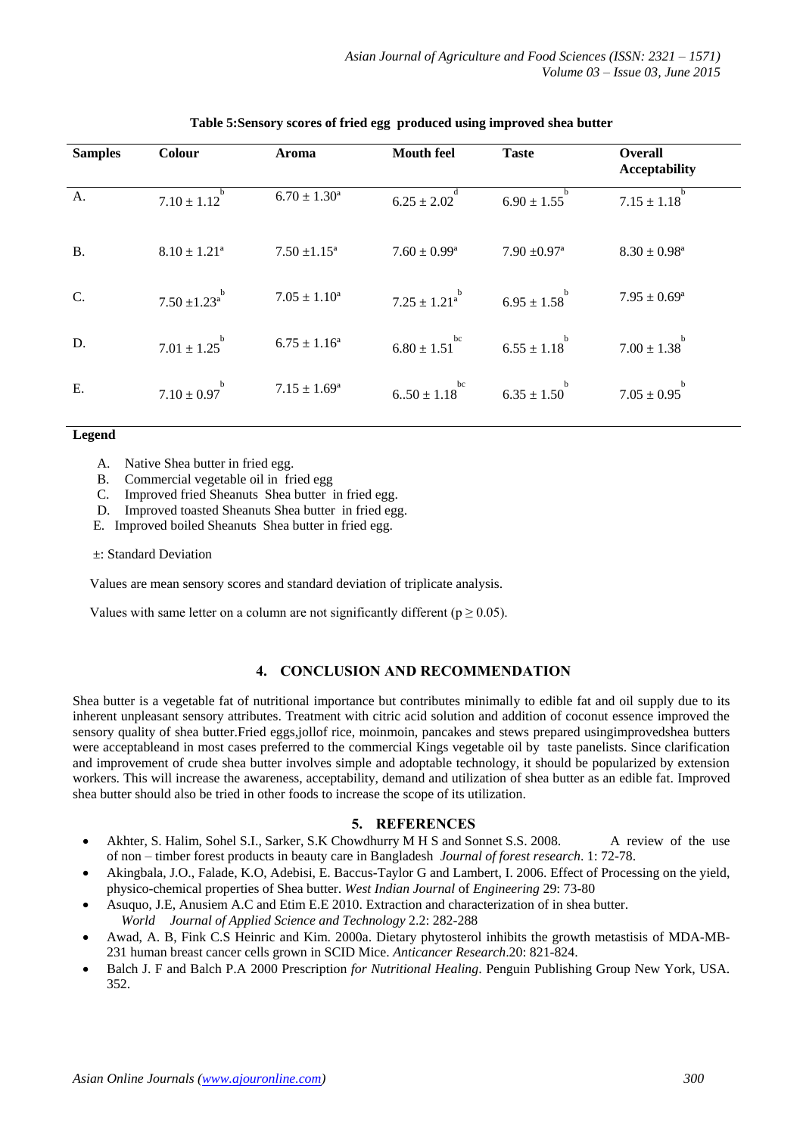| <b>Samples</b> | Colour                       | Aroma             | <b>Mouth feel</b>                 | <b>Taste</b>                 | Overall<br><b>Acceptability</b> |
|----------------|------------------------------|-------------------|-----------------------------------|------------------------------|---------------------------------|
| A.             | h<br>$7.10 \pm 1.12$         | $6.70 \pm 1.30^a$ | $6.25 \pm 2.02$                   | $6.90 \pm 1.55$              | $7.15 \pm 1.18$                 |
| <b>B.</b>      | $8.10 \pm 1.21^a$            | $7.50 \pm 1.15^a$ | $7.60 \pm 0.99^{\rm a}$           | $7.90 \pm 0.97$ <sup>a</sup> | $8.30 \pm 0.98^a$               |
| C.             | $7.50 \pm 1.23$ <sup>a</sup> | $7.05 \pm 1.10^a$ | b<br>$7.25 \pm 1.21$ <sup>a</sup> | $6.95 \pm 1.58$              | $7.95 \pm 0.69^{\rm a}$         |
| D.             | $7.01 \pm 1.25$              | $6.75 \pm 1.16^a$ | bc<br>$6.80 \pm 1.51$             | $6.55 \pm 1.18$              | $7.00 \pm 1.38$                 |
| E.             | $7.10 \pm 0.97$ <sup>b</sup> | $7.15 \pm 1.69^a$ | bc<br>$6.50 \pm 1.18$             | $6.35 \pm 1.50$              | $7.05 \pm 0.95$                 |

## **Table 5:Sensory scores of fried egg produced using improved shea butter**

### **Legend**

A. Native Shea butter in fried egg.

B. Commercial vegetable oil in fried egg

C. Improved fried Sheanuts Shea butter in fried egg.

D. Improved toasted Sheanuts Shea butter in fried egg.

E. Improved boiled Sheanuts Shea butter in fried egg.

±: Standard Deviation

Values are mean sensory scores and standard deviation of triplicate analysis.

Values with same letter on a column are not significantly different ( $p \ge 0.05$ ).

# **4. CONCLUSION AND RECOMMENDATION**

Shea butter is a vegetable fat of nutritional importance but contributes minimally to edible fat and oil supply due to its inherent unpleasant sensory attributes. Treatment with citric acid solution and addition of coconut essence improved the sensory quality of shea butter.Fried eggs,jollof rice, moinmoin, pancakes and stews prepared usingimprovedshea butters were acceptableand in most cases preferred to the commercial Kings vegetable oil by taste panelists. Since clarification and improvement of crude shea butter involves simple and adoptable technology, it should be popularized by extension workers. This will increase the awareness, acceptability, demand and utilization of shea butter as an edible fat. Improved shea butter should also be tried in other foods to increase the scope of its utilization.

# **5. REFERENCES**

- Akhter, S. Halim, Sohel S.I., Sarker, S.K Chowdhurry M H S and Sonnet S.S. 2008. A review of the use of non – timber forest products in beauty care in Bangladesh *Journal of forest research*. 1: 72-78.
- Akingbala, J.O., Falade, K.O, Adebisi, E. Baccus-Taylor G and Lambert, I. 2006. Effect of Processing on the yield, physico-chemical properties of Shea butter. *West Indian Journal* of *Engineering* 29: 73-80
- Asuquo, J.E, Anusiem A.C and Etim E.E 2010. Extraction and characterization of in shea butter. *World Journal of Applied Science and Technology* 2.2: 282-288
- Awad, A. B, Fink C.S Heinric and Kim. 2000a. Dietary phytosterol inhibits the growth metastisis of MDA-MB-231 human breast cancer cells grown in SCID Mice. *Anticancer Research*.20: 821-824.
- Balch J. F and Balch P.A 2000 Prescription *for Nutritional Healing*. Penguin Publishing Group New York, USA. 352.